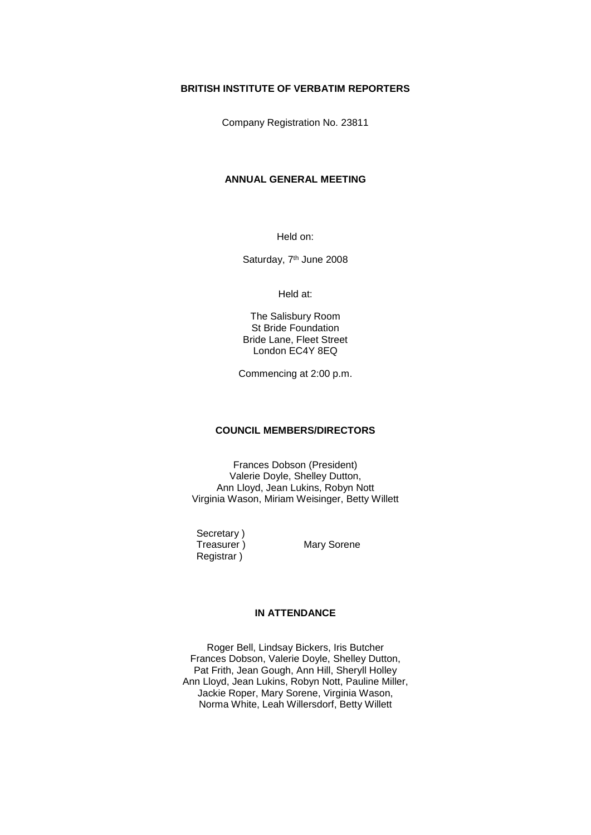### **BRITISH INSTITUTE OF VERBATIM REPORTERS**

Company Registration No. 23811

## **ANNUAL GENERAL MEETING**

Held on:

Saturday, 7<sup>th</sup> June 2008

Held at:

The Salisbury Room St Bride Foundation Bride Lane, Fleet Street London EC4Y 8EQ

Commencing at 2:00 p.m.

# **COUNCIL MEMBERS/DIRECTORS**

Frances Dobson (President) Valerie Doyle, Shelley Dutton, Ann Lloyd, Jean Lukins, Robyn Nott Virginia Wason, Miriam Weisinger, Betty Willett

Secretary)<br>Treasurer) Registrar )

Mary Sorene

## **IN ATTENDANCE**

Roger Bell, Lindsay Bickers, Iris Butcher Frances Dobson, Valerie Doyle, Shelley Dutton, Pat Frith, Jean Gough, Ann Hill, Sheryll Holley Ann Lloyd, Jean Lukins, Robyn Nott, Pauline Miller, Jackie Roper, Mary Sorene, Virginia Wason, Norma White, Leah Willersdorf, Betty Willett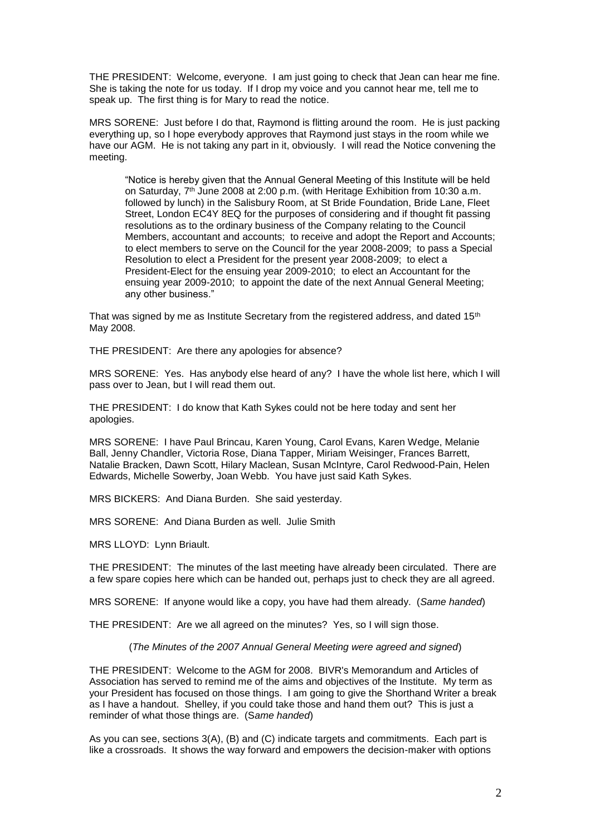THE PRESIDENT: Welcome, everyone. I am just going to check that Jean can hear me fine. She is taking the note for us today. If I drop my voice and you cannot hear me, tell me to speak up. The first thing is for Mary to read the notice.

MRS SORENE: Just before I do that, Raymond is flitting around the room. He is just packing everything up, so I hope everybody approves that Raymond just stays in the room while we have our AGM. He is not taking any part in it, obviously. I will read the Notice convening the meeting.

"Notice is hereby given that the Annual General Meeting of this Institute will be held on Saturday, 7<sup>th</sup> June 2008 at 2:00 p.m. (with Heritage Exhibition from 10:30 a.m. followed by lunch) in the Salisbury Room, at St Bride Foundation, Bride Lane, Fleet Street, London EC4Y 8EQ for the purposes of considering and if thought fit passing resolutions as to the ordinary business of the Company relating to the Council Members, accountant and accounts; to receive and adopt the Report and Accounts; to elect members to serve on the Council for the year 2008-2009; to pass a Special Resolution to elect a President for the present year 2008-2009; to elect a President-Elect for the ensuing year 2009-2010; to elect an Accountant for the ensuing year 2009-2010; to appoint the date of the next Annual General Meeting; any other business."

That was signed by me as Institute Secretary from the registered address, and dated 15<sup>th</sup> May 2008.

THE PRESIDENT: Are there any apologies for absence?

MRS SORENE: Yes. Has anybody else heard of any? I have the whole list here, which I will pass over to Jean, but I will read them out.

THE PRESIDENT: I do know that Kath Sykes could not be here today and sent her apologies.

MRS SORENE: I have Paul Brincau, Karen Young, Carol Evans, Karen Wedge, Melanie Ball, Jenny Chandler, Victoria Rose, Diana Tapper, Miriam Weisinger, Frances Barrett, Natalie Bracken, Dawn Scott, Hilary Maclean, Susan McIntyre, Carol Redwood-Pain, Helen Edwards, Michelle Sowerby, Joan Webb. You have just said Kath Sykes.

MRS BICKERS: And Diana Burden. She said yesterday.

MRS SORENE: And Diana Burden as well. Julie Smith

MRS LLOYD: Lynn Briault.

THE PRESIDENT: The minutes of the last meeting have already been circulated. There are a few spare copies here which can be handed out, perhaps just to check they are all agreed.

MRS SORENE: If anyone would like a copy, you have had them already. (*Same handed*)

THE PRESIDENT: Are we all agreed on the minutes? Yes, so I will sign those.

(*The Minutes of the 2007 Annual General Meeting were agreed and signed*)

THE PRESIDENT: Welcome to the AGM for 2008. BIVR's Memorandum and Articles of Association has served to remind me of the aims and objectives of the Institute. My term as your President has focused on those things. I am going to give the Shorthand Writer a break as I have a handout. Shelley, if you could take those and hand them out? This is just a reminder of what those things are. (S*ame handed*)

As you can see, sections 3(A), (B) and (C) indicate targets and commitments. Each part is like a crossroads. It shows the way forward and empowers the decision-maker with options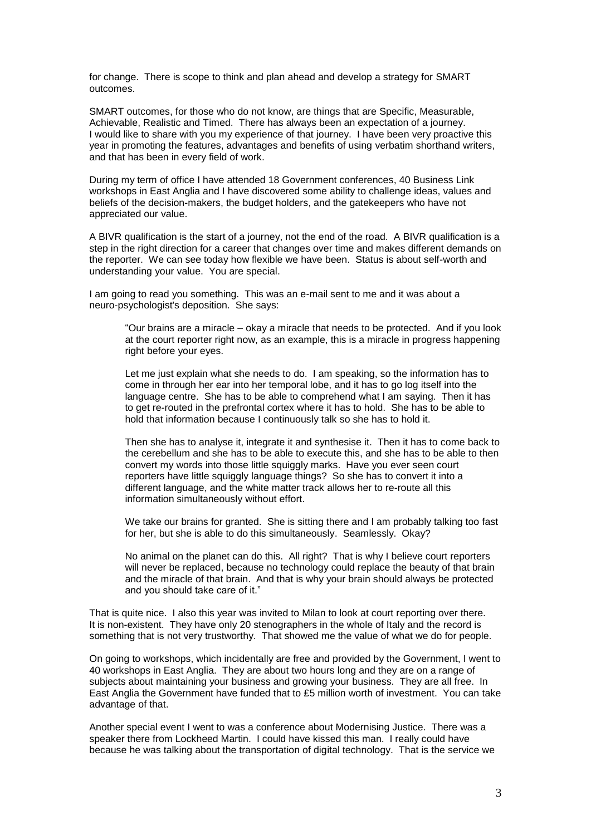for change. There is scope to think and plan ahead and develop a strategy for SMART outcomes.

SMART outcomes, for those who do not know, are things that are Specific, Measurable, Achievable, Realistic and Timed. There has always been an expectation of a journey. I would like to share with you my experience of that journey. I have been very proactive this year in promoting the features, advantages and benefits of using verbatim shorthand writers, and that has been in every field of work.

During my term of office I have attended 18 Government conferences, 40 Business Link workshops in East Anglia and I have discovered some ability to challenge ideas, values and beliefs of the decision-makers, the budget holders, and the gatekeepers who have not appreciated our value.

A BIVR qualification is the start of a journey, not the end of the road. A BIVR qualification is a step in the right direction for a career that changes over time and makes different demands on the reporter. We can see today how flexible we have been. Status is about self-worth and understanding your value. You are special.

I am going to read you something. This was an e-mail sent to me and it was about a neuro-psychologist's deposition. She says:

"Our brains are a miracle – okay a miracle that needs to be protected. And if you look at the court reporter right now, as an example, this is a miracle in progress happening right before your eyes.

Let me just explain what she needs to do. I am speaking, so the information has to come in through her ear into her temporal lobe, and it has to go log itself into the language centre. She has to be able to comprehend what I am saying. Then it has to get re-routed in the prefrontal cortex where it has to hold. She has to be able to hold that information because I continuously talk so she has to hold it.

Then she has to analyse it, integrate it and synthesise it. Then it has to come back to the cerebellum and she has to be able to execute this, and she has to be able to then convert my words into those little squiggly marks. Have you ever seen court reporters have little squiggly language things? So she has to convert it into a different language, and the white matter track allows her to re-route all this information simultaneously without effort.

We take our brains for granted. She is sitting there and I am probably talking too fast for her, but she is able to do this simultaneously. Seamlessly. Okay?

No animal on the planet can do this. All right? That is why I believe court reporters will never be replaced, because no technology could replace the beauty of that brain and the miracle of that brain. And that is why your brain should always be protected and you should take care of it."

That is quite nice. I also this year was invited to Milan to look at court reporting over there. It is non-existent. They have only 20 stenographers in the whole of Italy and the record is something that is not very trustworthy. That showed me the value of what we do for people.

On going to workshops, which incidentally are free and provided by the Government, I went to 40 workshops in East Anglia. They are about two hours long and they are on a range of subjects about maintaining your business and growing your business. They are all free. In East Anglia the Government have funded that to £5 million worth of investment. You can take advantage of that.

Another special event I went to was a conference about Modernising Justice. There was a speaker there from Lockheed Martin. I could have kissed this man. I really could have because he was talking about the transportation of digital technology. That is the service we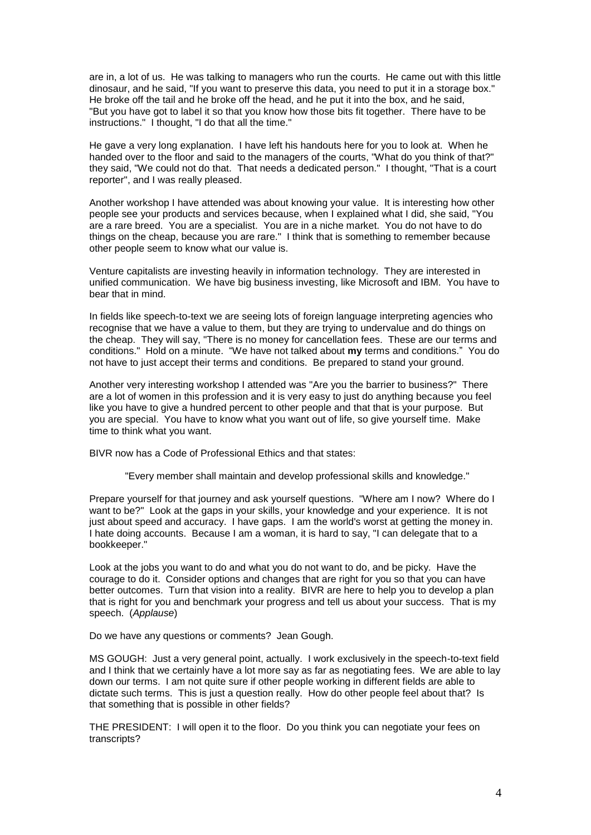are in, a lot of us. He was talking to managers who run the courts. He came out with this little dinosaur, and he said, "If you want to preserve this data, you need to put it in a storage box." He broke off the tail and he broke off the head, and he put it into the box, and he said, "But you have got to label it so that you know how those bits fit together. There have to be instructions." I thought, "I do that all the time."

He gave a very long explanation. I have left his handouts here for you to look at. When he handed over to the floor and said to the managers of the courts, "What do you think of that?" they said, "We could not do that. That needs a dedicated person." I thought, "That is a court reporter", and I was really pleased.

Another workshop I have attended was about knowing your value. It is interesting how other people see your products and services because, when I explained what I did, she said, "You are a rare breed. You are a specialist. You are in a niche market. You do not have to do things on the cheap, because you are rare." I think that is something to remember because other people seem to know what our value is.

Venture capitalists are investing heavily in information technology. They are interested in unified communication. We have big business investing, like Microsoft and IBM. You have to bear that in mind.

In fields like speech-to-text we are seeing lots of foreign language interpreting agencies who recognise that we have a value to them, but they are trying to undervalue and do things on the cheap. They will say, "There is no money for cancellation fees. These are our terms and conditions." Hold on a minute. "We have not talked about **my** terms and conditions." You do not have to just accept their terms and conditions. Be prepared to stand your ground.

Another very interesting workshop I attended was "Are you the barrier to business?" There are a lot of women in this profession and it is very easy to just do anything because you feel like you have to give a hundred percent to other people and that that is your purpose. But you are special. You have to know what you want out of life, so give yourself time. Make time to think what you want.

BIVR now has a Code of Professional Ethics and that states:

"Every member shall maintain and develop professional skills and knowledge."

Prepare yourself for that journey and ask yourself questions. "Where am I now? Where do I want to be?" Look at the gaps in your skills, your knowledge and your experience. It is not just about speed and accuracy. I have gaps. I am the world's worst at getting the money in. I hate doing accounts. Because I am a woman, it is hard to say, "I can delegate that to a bookkeeper."

Look at the jobs you want to do and what you do not want to do, and be picky. Have the courage to do it. Consider options and changes that are right for you so that you can have better outcomes. Turn that vision into a reality. BIVR are here to help you to develop a plan that is right for you and benchmark your progress and tell us about your success. That is my speech. (*Applause*)

Do we have any questions or comments? Jean Gough.

MS GOUGH: Just a very general point, actually. I work exclusively in the speech-to-text field and I think that we certainly have a lot more say as far as negotiating fees. We are able to lay down our terms. I am not quite sure if other people working in different fields are able to dictate such terms. This is just a question really. How do other people feel about that? Is that something that is possible in other fields?

THE PRESIDENT: I will open it to the floor. Do you think you can negotiate your fees on transcripts?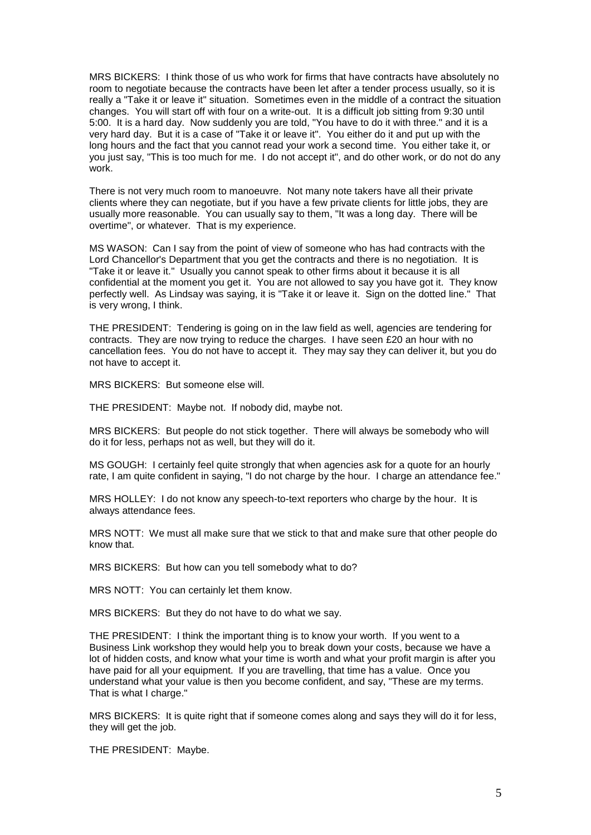MRS BICKERS: I think those of us who work for firms that have contracts have absolutely no room to negotiate because the contracts have been let after a tender process usually, so it is really a "Take it or leave it" situation. Sometimes even in the middle of a contract the situation changes. You will start off with four on a write-out. It is a difficult job sitting from 9:30 until 5:00. It is a hard day. Now suddenly you are told, "You have to do it with three." and it is a very hard day. But it is a case of "Take it or leave it". You either do it and put up with the long hours and the fact that you cannot read your work a second time. You either take it, or you just say, "This is too much for me. I do not accept it", and do other work, or do not do any work.

There is not very much room to manoeuvre. Not many note takers have all their private clients where they can negotiate, but if you have a few private clients for little jobs, they are usually more reasonable. You can usually say to them, "It was a long day. There will be overtime", or whatever. That is my experience.

MS WASON: Can I say from the point of view of someone who has had contracts with the Lord Chancellor's Department that you get the contracts and there is no negotiation. It is "Take it or leave it." Usually you cannot speak to other firms about it because it is all confidential at the moment you get it. You are not allowed to say you have got it. They know perfectly well. As Lindsay was saying, it is "Take it or leave it. Sign on the dotted line." That is very wrong, I think.

THE PRESIDENT: Tendering is going on in the law field as well, agencies are tendering for contracts. They are now trying to reduce the charges. I have seen £20 an hour with no cancellation fees. You do not have to accept it. They may say they can deliver it, but you do not have to accept it.

MRS BICKERS: But someone else will.

THE PRESIDENT: Maybe not. If nobody did, maybe not.

MRS BICKERS: But people do not stick together. There will always be somebody who will do it for less, perhaps not as well, but they will do it.

MS GOUGH: I certainly feel quite strongly that when agencies ask for a quote for an hourly rate, I am quite confident in saying, "I do not charge by the hour. I charge an attendance fee."

MRS HOLLEY: I do not know any speech-to-text reporters who charge by the hour. It is always attendance fees.

MRS NOTT: We must all make sure that we stick to that and make sure that other people do know that.

MRS BICKERS: But how can you tell somebody what to do?

MRS NOTT: You can certainly let them know.

MRS BICKERS: But they do not have to do what we say.

THE PRESIDENT: I think the important thing is to know your worth. If you went to a Business Link workshop they would help you to break down your costs, because we have a lot of hidden costs, and know what your time is worth and what your profit margin is after you have paid for all your equipment. If you are travelling, that time has a value. Once you understand what your value is then you become confident, and say, "These are my terms. That is what I charge."

MRS BICKERS: It is quite right that if someone comes along and says they will do it for less, they will get the job.

THE PRESIDENT: Maybe.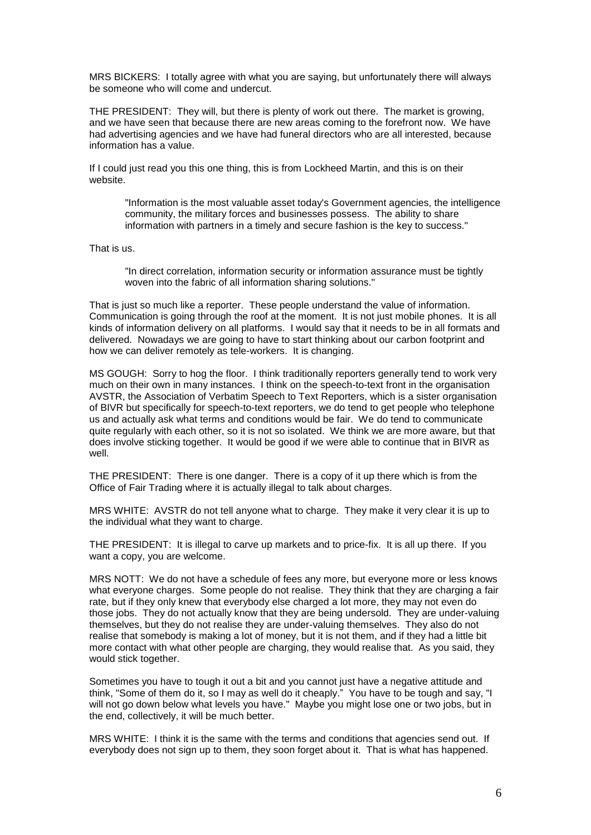MRS BICKERS: I totally agree with what you are saying, but unfortunately there will always be someone who will come and undercut.

THE PRESIDENT: They will, but there is plenty of work out there. The market is growing, and we have seen that because there are new areas coming to the forefront now. We have had advertising agencies and we have had funeral directors who are all interested, because information has a value.

If I could just read you this one thing, this is from Lockheed Martin, and this is on their website.

"Information is the most valuable asset today's Government agencies, the intelligence community, the military forces and businesses possess. The ability to share information with partners in a timely and secure fashion is the key to success."

That is us.

"In direct correlation, information security or information assurance must be tightly woven into the fabric of all information sharing solutions."

That is just so much like a reporter. These people understand the value of information. Communication is going through the roof at the moment. It is not just mobile phones. It is all kinds of information delivery on all platforms. I would say that it needs to be in all formats and delivered. Nowadays we are going to have to start thinking about our carbon footprint and how we can deliver remotely as tele-workers. It is changing.

MS GOUGH: Sorry to hog the floor. I think traditionally reporters generally tend to work very much on their own in many instances. I think on the speech-to-text front in the organisation AVSTR, the Association of Verbatim Speech to Text Reporters, which is a sister organisation of BIVR but specifically for speech-to-text reporters, we do tend to get people who telephone us and actually ask what terms and conditions would be fair. We do tend to communicate quite regularly with each other, so it is not so isolated. We think we are more aware, but that does involve sticking together. It would be good if we were able to continue that in BIVR as well.

THE PRESIDENT: There is one danger. There is a copy of it up there which is from the Office of Fair Trading where it is actually illegal to talk about charges.

MRS WHITE: AVSTR do not tell anyone what to charge. They make it very clear it is up to the individual what they want to charge.

THE PRESIDENT: It is illegal to carve up markets and to price-fix. It is all up there. If you want a copy, you are welcome.

MRS NOTT: We do not have a schedule of fees any more, but everyone more or less knows what everyone charges. Some people do not realise. They think that they are charging a fair rate, but if they only knew that everybody else charged a lot more, they may not even do those jobs. They do not actually know that they are being undersold. They are under-valuing themselves, but they do not realise they are under-valuing themselves. They also do not realise that somebody is making a lot of money, but it is not them, and if they had a little bit more contact with what other people are charging, they would realise that. As you said, they would stick together.

Sometimes you have to tough it out a bit and you cannot just have a negative attitude and think, "Some of them do it, so I may as well do it cheaply." You have to be tough and say, "I will not go down below what levels you have." Maybe you might lose one or two jobs, but in the end, collectively, it will be much better.

MRS WHITE: I think it is the same with the terms and conditions that agencies send out. If everybody does not sign up to them, they soon forget about it. That is what has happened.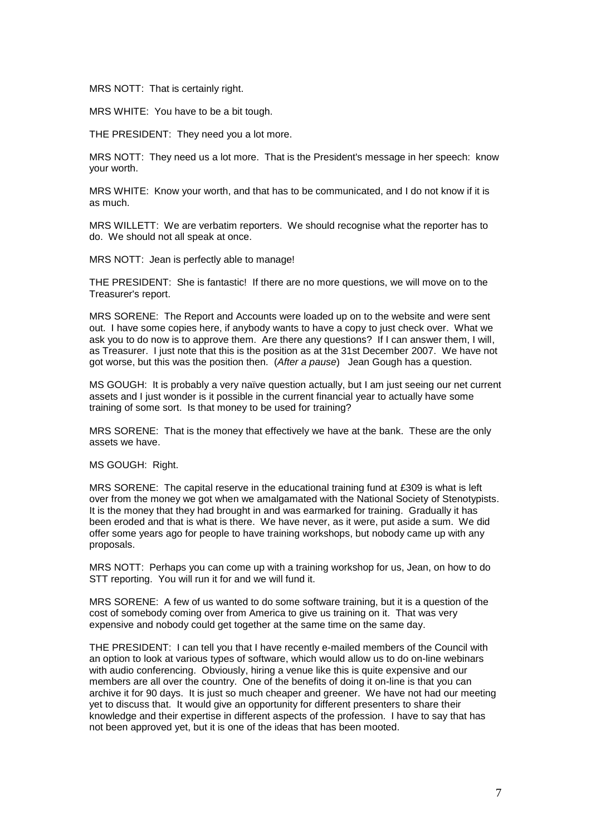MRS NOTT: That is certainly right.

MRS WHITE: You have to be a bit tough.

THE PRESIDENT: They need you a lot more.

MRS NOTT: They need us a lot more. That is the President's message in her speech: know your worth.

MRS WHITE: Know your worth, and that has to be communicated, and I do not know if it is as much.

MRS WILLETT: We are verbatim reporters. We should recognise what the reporter has to do. We should not all speak at once.

MRS NOTT: Jean is perfectly able to manage!

THE PRESIDENT: She is fantastic! If there are no more questions, we will move on to the Treasurer's report.

MRS SORENE: The Report and Accounts were loaded up on to the website and were sent out. I have some copies here, if anybody wants to have a copy to just check over. What we ask you to do now is to approve them. Are there any questions? If I can answer them, I will, as Treasurer. I just note that this is the position as at the 31st December 2007. We have not got worse, but this was the position then. (*After a pause*) Jean Gough has a question.

MS GOUGH: It is probably a very naïve question actually, but I am just seeing our net current assets and I just wonder is it possible in the current financial year to actually have some training of some sort. Is that money to be used for training?

MRS SORENE: That is the money that effectively we have at the bank. These are the only assets we have.

MS GOUGH: Right.

MRS SORENE: The capital reserve in the educational training fund at £309 is what is left over from the money we got when we amalgamated with the National Society of Stenotypists. It is the money that they had brought in and was earmarked for training. Gradually it has been eroded and that is what is there. We have never, as it were, put aside a sum. We did offer some years ago for people to have training workshops, but nobody came up with any proposals.

MRS NOTT: Perhaps you can come up with a training workshop for us, Jean, on how to do STT reporting. You will run it for and we will fund it.

MRS SORENE: A few of us wanted to do some software training, but it is a question of the cost of somebody coming over from America to give us training on it. That was very expensive and nobody could get together at the same time on the same day.

THE PRESIDENT: I can tell you that I have recently e-mailed members of the Council with an option to look at various types of software, which would allow us to do on-line webinars with audio conferencing. Obviously, hiring a venue like this is quite expensive and our members are all over the country. One of the benefits of doing it on-line is that you can archive it for 90 days. It is just so much cheaper and greener. We have not had our meeting yet to discuss that. It would give an opportunity for different presenters to share their knowledge and their expertise in different aspects of the profession. I have to say that has not been approved yet, but it is one of the ideas that has been mooted.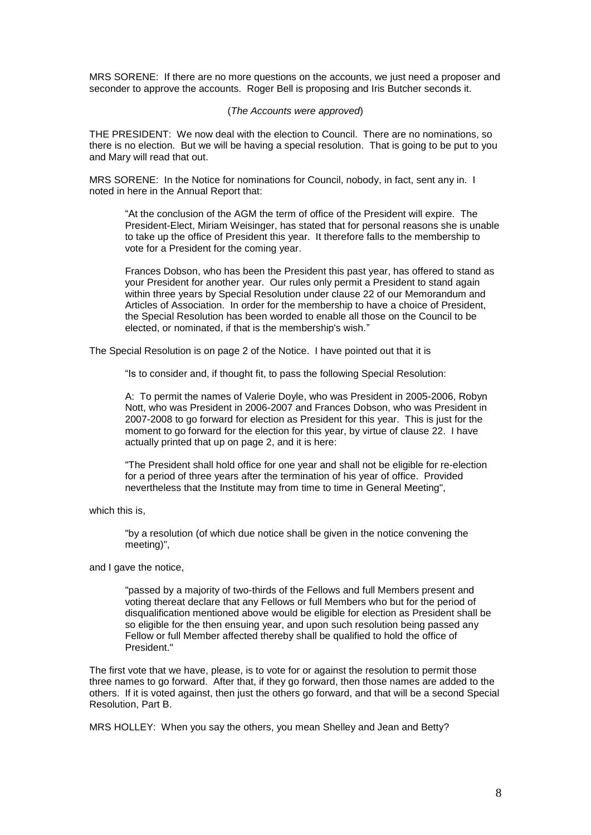MRS SORENE: If there are no more questions on the accounts, we just need a proposer and seconder to approve the accounts. Roger Bell is proposing and Iris Butcher seconds it.

### (*The Accounts were approved*)

THE PRESIDENT: We now deal with the election to Council. There are no nominations, so there is no election. But we will be having a special resolution. That is going to be put to you and Mary will read that out.

MRS SORENE: In the Notice for nominations for Council, nobody, in fact, sent any in. I noted in here in the Annual Report that:

"At the conclusion of the AGM the term of office of the President will expire. The President-Elect, Miriam Weisinger, has stated that for personal reasons she is unable to take up the office of President this year. It therefore falls to the membership to vote for a President for the coming year.

Frances Dobson, who has been the President this past year, has offered to stand as your President for another year. Our rules only permit a President to stand again within three years by Special Resolution under clause 22 of our Memorandum and Articles of Association. In order for the membership to have a choice of President, the Special Resolution has been worded to enable all those on the Council to be elected, or nominated, if that is the membership's wish."

The Special Resolution is on page 2 of the Notice. I have pointed out that it is

"Is to consider and, if thought fit, to pass the following Special Resolution:

A: To permit the names of Valerie Doyle, who was President in 2005-2006, Robyn Nott, who was President in 2006-2007 and Frances Dobson, who was President in 2007-2008 to go forward for election as President for this year. This is just for the moment to go forward for the election for this year, by virtue of clause 22. I have actually printed that up on page 2, and it is here:

"The President shall hold office for one year and shall not be eligible for re-election for a period of three years after the termination of his year of office. Provided nevertheless that the Institute may from time to time in General Meeting",

which this is,

"by a resolution (of which due notice shall be given in the notice convening the meeting)",

and I gave the notice,

"passed by a majority of two-thirds of the Fellows and full Members present and voting thereat declare that any Fellows or full Members who but for the period of disqualification mentioned above would be eligible for election as President shall be so eligible for the then ensuing year, and upon such resolution being passed any Fellow or full Member affected thereby shall be qualified to hold the office of President."

The first vote that we have, please, is to vote for or against the resolution to permit those three names to go forward. After that, if they go forward, then those names are added to the others. If it is voted against, then just the others go forward, and that will be a second Special Resolution, Part B.

MRS HOLLEY: When you say the others, you mean Shelley and Jean and Betty?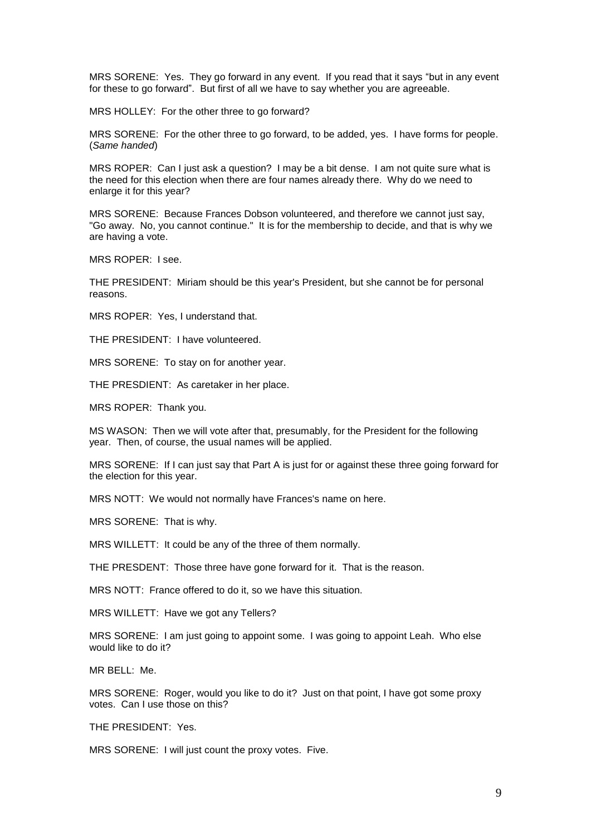MRS SORENE: Yes. They go forward in any event. If you read that it says "but in any event for these to go forward". But first of all we have to say whether you are agreeable.

MRS HOLLEY: For the other three to go forward?

MRS SORENE: For the other three to go forward, to be added, yes. I have forms for people. (*Same handed*)

MRS ROPER: Can I just ask a question? I may be a bit dense. I am not quite sure what is the need for this election when there are four names already there. Why do we need to enlarge it for this year?

MRS SORENE: Because Frances Dobson volunteered, and therefore we cannot just say, "Go away. No, you cannot continue." It is for the membership to decide, and that is why we are having a vote.

MRS ROPER: I see.

THE PRESIDENT: Miriam should be this year's President, but she cannot be for personal reasons.

MRS ROPER: Yes, I understand that.

THE PRESIDENT: I have volunteered.

MRS SORENE: To stay on for another year.

THE PRESDIENT: As caretaker in her place.

MRS ROPER: Thank you.

MS WASON: Then we will vote after that, presumably, for the President for the following year. Then, of course, the usual names will be applied.

MRS SORENE: If I can just say that Part A is just for or against these three going forward for the election for this year.

MRS NOTT: We would not normally have Frances's name on here.

MRS SORENE: That is why.

MRS WILLETT: It could be any of the three of them normally.

THE PRESDENT: Those three have gone forward for it. That is the reason.

MRS NOTT: France offered to do it, so we have this situation.

MRS WILLETT: Have we got any Tellers?

MRS SORENE: I am just going to appoint some. I was going to appoint Leah. Who else would like to do it?

MR BELL: Me.

MRS SORENE: Roger, would you like to do it? Just on that point, I have got some proxy votes. Can I use those on this?

THE PRESIDENT: Yes.

MRS SORENE: I will just count the proxy votes. Five.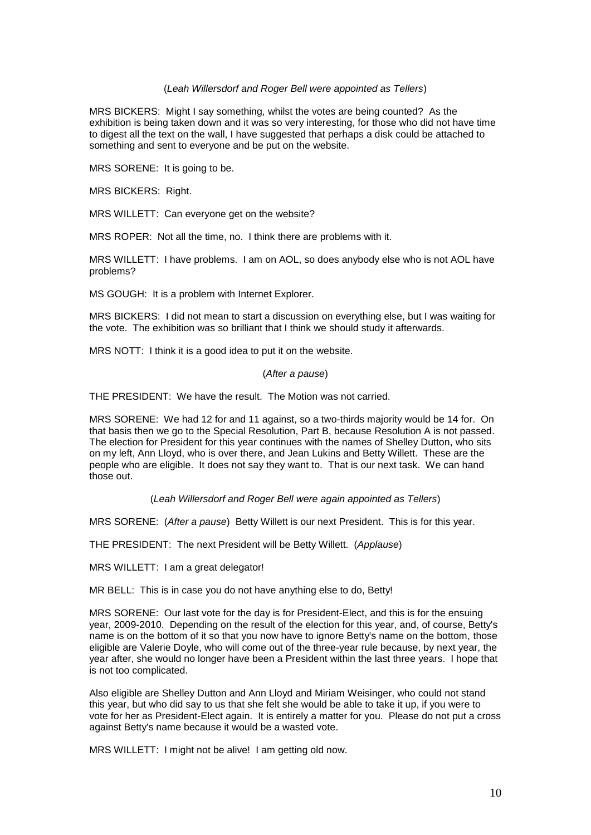### (*Leah Willersdorf and Roger Bell were appointed as Tellers*)

MRS BICKERS: Might I say something, whilst the votes are being counted? As the exhibition is being taken down and it was so very interesting, for those who did not have time to digest all the text on the wall, I have suggested that perhaps a disk could be attached to something and sent to everyone and be put on the website.

MRS SORENE: It is going to be.

MRS BICKERS: Right.

MRS WILLETT: Can everyone get on the website?

MRS ROPER: Not all the time, no. I think there are problems with it.

MRS WILLETT: I have problems. I am on AOL, so does anybody else who is not AOL have problems?

MS GOUGH: It is a problem with Internet Explorer.

MRS BICKERS: I did not mean to start a discussion on everything else, but I was waiting for the vote. The exhibition was so brilliant that I think we should study it afterwards.

MRS NOTT: I think it is a good idea to put it on the website.

#### (*After a pause*)

THE PRESIDENT: We have the result. The Motion was not carried.

MRS SORENE: We had 12 for and 11 against, so a two-thirds majority would be 14 for. On that basis then we go to the Special Resolution, Part B, because Resolution A is not passed. The election for President for this year continues with the names of Shelley Dutton, who sits on my left, Ann Lloyd, who is over there, and Jean Lukins and Betty Willett. These are the people who are eligible. It does not say they want to. That is our next task. We can hand those out.

(*Leah Willersdorf and Roger Bell were again appointed as Tellers*)

MRS SORENE: (*After a pause*) Betty Willett is our next President. This is for this year.

THE PRESIDENT: The next President will be Betty Willett. (*Applause*)

MRS WILLETT: I am a great delegator!

MR BELL: This is in case you do not have anything else to do, Betty!

MRS SORENE: Our last vote for the day is for President-Elect, and this is for the ensuing year, 2009-2010. Depending on the result of the election for this year, and, of course, Betty's name is on the bottom of it so that you now have to ignore Betty's name on the bottom, those eligible are Valerie Doyle, who will come out of the three-year rule because, by next year, the year after, she would no longer have been a President within the last three years. I hope that is not too complicated.

Also eligible are Shelley Dutton and Ann Lloyd and Miriam Weisinger, who could not stand this year, but who did say to us that she felt she would be able to take it up, if you were to vote for her as President-Elect again. It is entirely a matter for you. Please do not put a cross against Betty's name because it would be a wasted vote.

MRS WILLETT: I might not be alive! I am getting old now.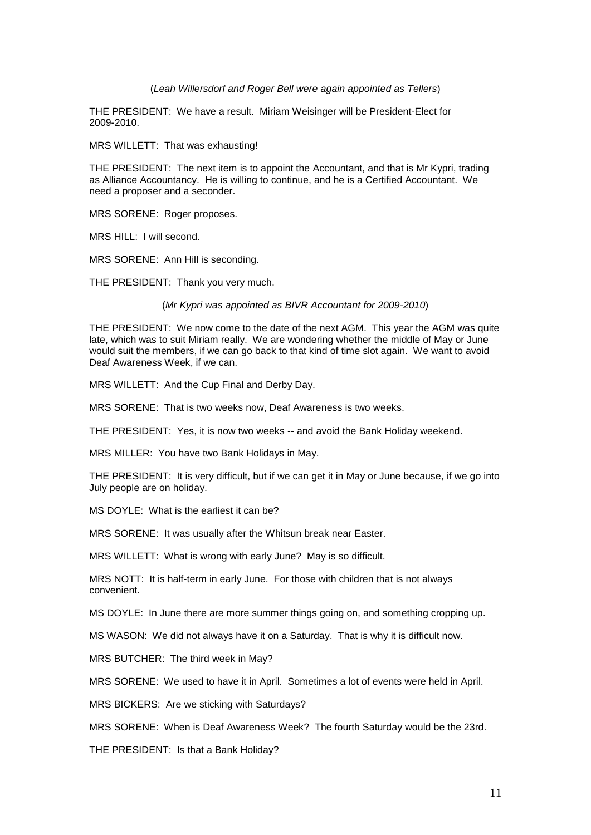#### (*Leah Willersdorf and Roger Bell were again appointed as Tellers*)

THE PRESIDENT: We have a result. Miriam Weisinger will be President-Elect for 2009-2010.

MRS WILLETT: That was exhausting!

THE PRESIDENT: The next item is to appoint the Accountant, and that is Mr Kypri, trading as Alliance Accountancy. He is willing to continue, and he is a Certified Accountant. We need a proposer and a seconder.

MRS SORENE: Roger proposes.

MRS HILL: I will second.

MRS SORENE: Ann Hill is seconding.

THE PRESIDENT: Thank you very much.

#### (*Mr Kypri was appointed as BIVR Accountant for 2009-2010*)

THE PRESIDENT: We now come to the date of the next AGM. This year the AGM was quite late, which was to suit Miriam really. We are wondering whether the middle of May or June would suit the members, if we can go back to that kind of time slot again. We want to avoid Deaf Awareness Week, if we can.

MRS WILLETT: And the Cup Final and Derby Day.

MRS SORENE: That is two weeks now, Deaf Awareness is two weeks.

THE PRESIDENT: Yes, it is now two weeks -- and avoid the Bank Holiday weekend.

MRS MILLER: You have two Bank Holidays in May.

THE PRESIDENT: It is very difficult, but if we can get it in May or June because, if we go into July people are on holiday.

MS DOYLE: What is the earliest it can be?

MRS SORENE: It was usually after the Whitsun break near Easter.

MRS WILLETT: What is wrong with early June? May is so difficult.

MRS NOTT: It is half-term in early June. For those with children that is not always convenient.

MS DOYLE: In June there are more summer things going on, and something cropping up.

MS WASON: We did not always have it on a Saturday. That is why it is difficult now.

MRS BUTCHER: The third week in May?

MRS SORENE: We used to have it in April. Sometimes a lot of events were held in April.

MRS BICKERS: Are we sticking with Saturdays?

MRS SORENE: When is Deaf Awareness Week? The fourth Saturday would be the 23rd.

THE PRESIDENT: Is that a Bank Holiday?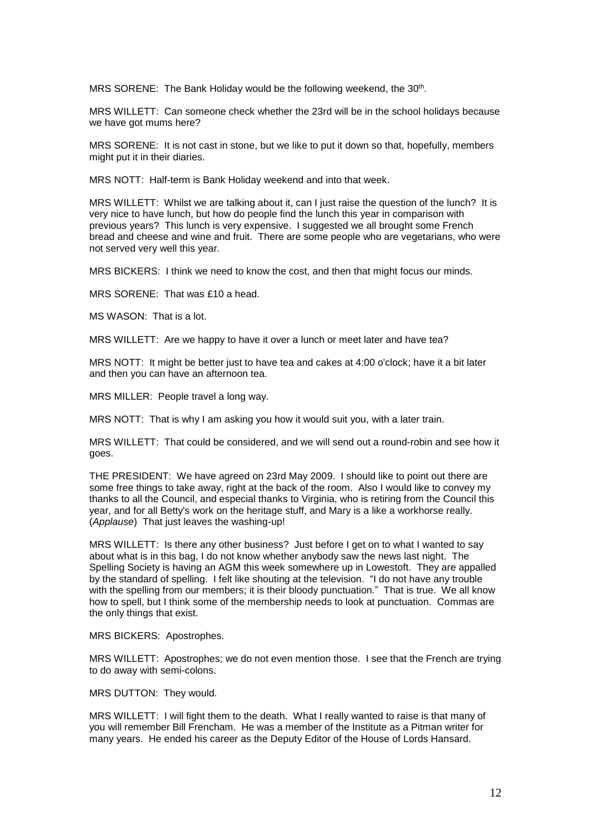MRS SORENE: The Bank Holiday would be the following weekend, the 30<sup>th</sup>.

MRS WILLETT: Can someone check whether the 23rd will be in the school holidays because we have got mums here?

MRS SORENE: It is not cast in stone, but we like to put it down so that, hopefully, members might put it in their diaries.

MRS NOTT: Half-term is Bank Holiday weekend and into that week.

MRS WILLETT: Whilst we are talking about it, can I just raise the question of the lunch? It is very nice to have lunch, but how do people find the lunch this year in comparison with previous years? This lunch is very expensive. I suggested we all brought some French bread and cheese and wine and fruit. There are some people who are vegetarians, who were not served very well this year.

MRS BICKERS: I think we need to know the cost, and then that might focus our minds.

MRS SORENE: That was £10 a head.

MS WASON: That is a lot.

MRS WILLETT: Are we happy to have it over a lunch or meet later and have tea?

MRS NOTT: It might be better just to have tea and cakes at 4:00 o'clock; have it a bit later and then you can have an afternoon tea.

MRS MILLER: People travel a long way.

MRS NOTT: That is why I am asking you how it would suit you, with a later train.

MRS WILLETT: That could be considered, and we will send out a round-robin and see how it goes.

THE PRESIDENT: We have agreed on 23rd May 2009. I should like to point out there are some free things to take away, right at the back of the room. Also I would like to convey my thanks to all the Council, and especial thanks to Virginia, who is retiring from the Council this year, and for all Betty's work on the heritage stuff, and Mary is a like a workhorse really. (*Applause*) That just leaves the washing-up!

MRS WILLETT: Is there any other business? Just before I get on to what I wanted to say about what is in this bag, I do not know whether anybody saw the news last night. The Spelling Society is having an AGM this week somewhere up in Lowestoft. They are appalled by the standard of spelling. I felt like shouting at the television. "I do not have any trouble with the spelling from our members; it is their bloody punctuation." That is true. We all know how to spell, but I think some of the membership needs to look at punctuation. Commas are the only things that exist.

MRS BICKERS: Apostrophes.

MRS WILLETT: Apostrophes; we do not even mention those. I see that the French are trying to do away with semi-colons.

MRS DUTTON: They would.

MRS WILLETT: I will fight them to the death. What I really wanted to raise is that many of you will remember Bill Frencham. He was a member of the Institute as a Pitman writer for many years. He ended his career as the Deputy Editor of the House of Lords Hansard.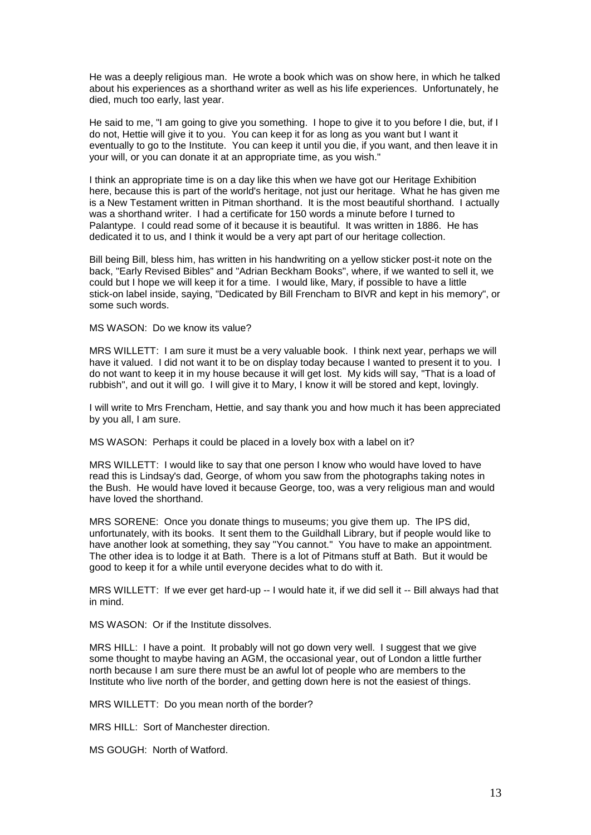He was a deeply religious man. He wrote a book which was on show here, in which he talked about his experiences as a shorthand writer as well as his life experiences. Unfortunately, he died, much too early, last year.

He said to me, "I am going to give you something. I hope to give it to you before I die, but, if I do not, Hettie will give it to you. You can keep it for as long as you want but I want it eventually to go to the Institute. You can keep it until you die, if you want, and then leave it in your will, or you can donate it at an appropriate time, as you wish."

I think an appropriate time is on a day like this when we have got our Heritage Exhibition here, because this is part of the world's heritage, not just our heritage. What he has given me is a New Testament written in Pitman shorthand. It is the most beautiful shorthand. I actually was a shorthand writer. I had a certificate for 150 words a minute before I turned to Palantype. I could read some of it because it is beautiful. It was written in 1886. He has dedicated it to us, and I think it would be a very apt part of our heritage collection.

Bill being Bill, bless him, has written in his handwriting on a yellow sticker post-it note on the back, "Early Revised Bibles" and "Adrian Beckham Books", where, if we wanted to sell it, we could but I hope we will keep it for a time. I would like, Mary, if possible to have a little stick-on label inside, saying, "Dedicated by Bill Frencham to BIVR and kept in his memory", or some such words.

MS WASON: Do we know its value?

MRS WILLETT: I am sure it must be a very valuable book. I think next year, perhaps we will have it valued. I did not want it to be on display today because I wanted to present it to you. I do not want to keep it in my house because it will get lost. My kids will say, "That is a load of rubbish", and out it will go. I will give it to Mary, I know it will be stored and kept, lovingly.

I will write to Mrs Frencham, Hettie, and say thank you and how much it has been appreciated by you all, I am sure.

MS WASON: Perhaps it could be placed in a lovely box with a label on it?

MRS WILLETT: I would like to say that one person I know who would have loved to have read this is Lindsay's dad, George, of whom you saw from the photographs taking notes in the Bush. He would have loved it because George, too, was a very religious man and would have loved the shorthand.

MRS SORENE: Once you donate things to museums; you give them up. The IPS did, unfortunately, with its books. It sent them to the Guildhall Library, but if people would like to have another look at something, they say "You cannot." You have to make an appointment. The other idea is to lodge it at Bath. There is a lot of Pitmans stuff at Bath. But it would be good to keep it for a while until everyone decides what to do with it.

MRS WILLETT: If we ever get hard-up -- I would hate it, if we did sell it -- Bill always had that in mind.

MS WASON: Or if the Institute dissolves.

MRS HILL: I have a point. It probably will not go down very well. I suggest that we give some thought to maybe having an AGM, the occasional year, out of London a little further north because I am sure there must be an awful lot of people who are members to the Institute who live north of the border, and getting down here is not the easiest of things.

MRS WILLETT: Do you mean north of the border?

MRS HILL: Sort of Manchester direction.

MS GOUGH: North of Watford.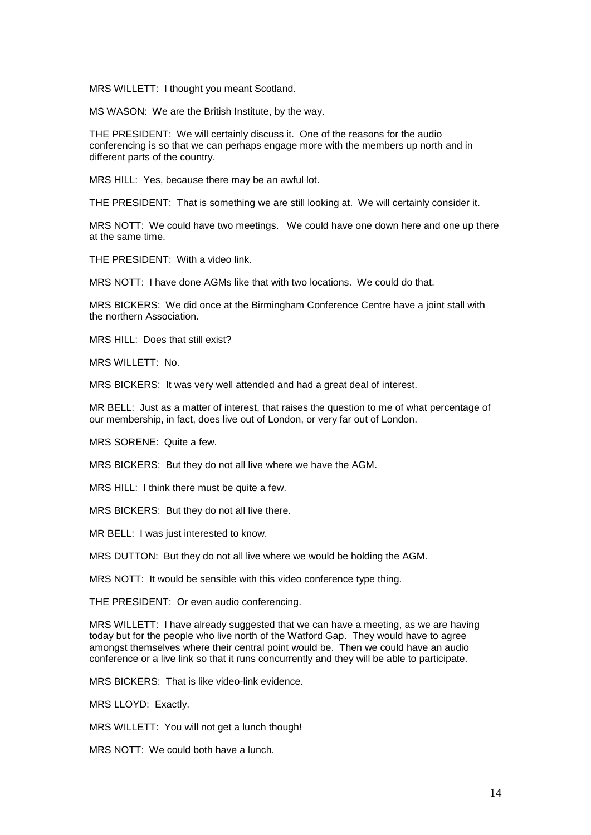MRS WILLETT: I thought you meant Scotland.

MS WASON: We are the British Institute, by the way.

THE PRESIDENT: We will certainly discuss it. One of the reasons for the audio conferencing is so that we can perhaps engage more with the members up north and in different parts of the country.

MRS HILL: Yes, because there may be an awful lot.

THE PRESIDENT: That is something we are still looking at. We will certainly consider it.

MRS NOTT: We could have two meetings. We could have one down here and one up there at the same time.

THE PRESIDENT: With a video link.

MRS NOTT: I have done AGMs like that with two locations. We could do that.

MRS BICKERS: We did once at the Birmingham Conference Centre have a joint stall with the northern Association.

MRS HILL: Does that still exist?

MRS WILLETT: No.

MRS BICKERS: It was very well attended and had a great deal of interest.

MR BELL: Just as a matter of interest, that raises the question to me of what percentage of our membership, in fact, does live out of London, or very far out of London.

MRS SORENE: Quite a few.

MRS BICKERS: But they do not all live where we have the AGM.

MRS HILL: I think there must be quite a few.

MRS BICKERS: But they do not all live there.

MR BELL: I was just interested to know.

MRS DUTTON: But they do not all live where we would be holding the AGM.

MRS NOTT: It would be sensible with this video conference type thing.

THE PRESIDENT: Or even audio conferencing.

MRS WILLETT: I have already suggested that we can have a meeting, as we are having today but for the people who live north of the Watford Gap. They would have to agree amongst themselves where their central point would be. Then we could have an audio conference or a live link so that it runs concurrently and they will be able to participate.

MRS BICKERS: That is like video-link evidence.

MRS LLOYD: Exactly.

MRS WILLETT: You will not get a lunch though!

MRS NOTT: We could both have a lunch.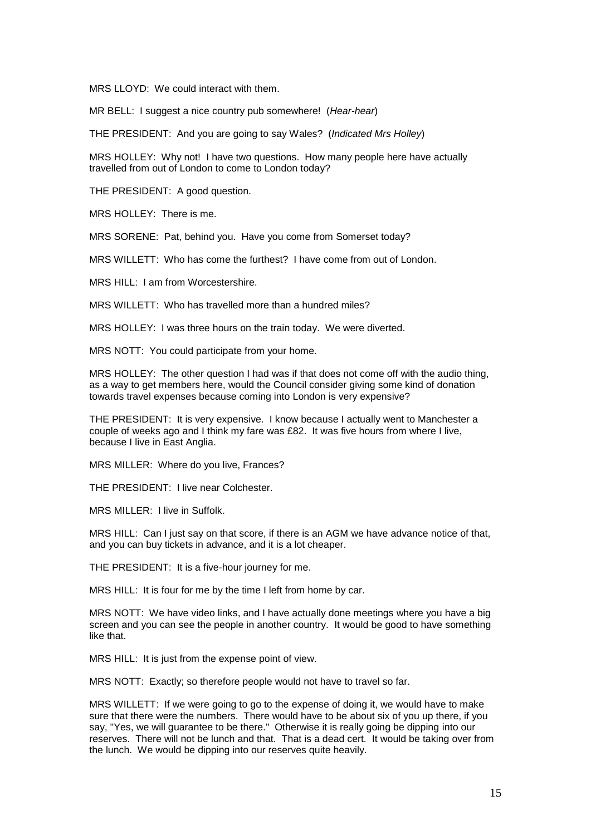MRS LLOYD: We could interact with them.

MR BELL: I suggest a nice country pub somewhere! (*Hear-hear*)

THE PRESIDENT: And you are going to say Wales? (*Indicated Mrs Holley*)

MRS HOLLEY: Why not! I have two questions. How many people here have actually travelled from out of London to come to London today?

THE PRESIDENT: A good question.

MRS HOLLEY: There is me.

MRS SORENE: Pat, behind you. Have you come from Somerset today?

MRS WILLETT: Who has come the furthest? I have come from out of London.

MRS HILL: I am from Worcestershire.

MRS WILLETT: Who has travelled more than a hundred miles?

MRS HOLLEY: I was three hours on the train today. We were diverted.

MRS NOTT: You could participate from your home.

MRS HOLLEY: The other question I had was if that does not come off with the audio thing, as a way to get members here, would the Council consider giving some kind of donation towards travel expenses because coming into London is very expensive?

THE PRESIDENT: It is very expensive. I know because I actually went to Manchester a couple of weeks ago and I think my fare was £82. It was five hours from where I live, because I live in East Anglia.

MRS MILLER: Where do you live, Frances?

THE PRESIDENT: I live near Colchester.

MRS MILLER: Llive in Suffolk.

MRS HILL: Can I just say on that score, if there is an AGM we have advance notice of that, and you can buy tickets in advance, and it is a lot cheaper.

THE PRESIDENT: It is a five-hour journey for me.

MRS HILL: It is four for me by the time I left from home by car.

MRS NOTT: We have video links, and I have actually done meetings where you have a big screen and you can see the people in another country. It would be good to have something like that.

MRS HILL: It is just from the expense point of view.

MRS NOTT: Exactly; so therefore people would not have to travel so far.

MRS WILLETT: If we were going to go to the expense of doing it, we would have to make sure that there were the numbers. There would have to be about six of you up there, if you say, "Yes, we will guarantee to be there." Otherwise it is really going be dipping into our reserves. There will not be lunch and that. That is a dead cert. It would be taking over from the lunch. We would be dipping into our reserves quite heavily.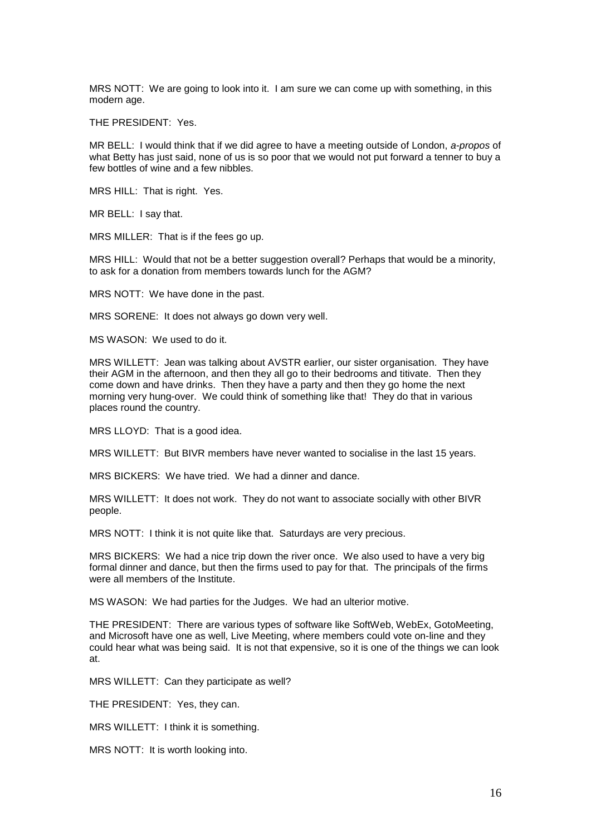MRS NOTT: We are going to look into it. I am sure we can come up with something, in this modern age.

THE PRESIDENT: Yes.

MR BELL: I would think that if we did agree to have a meeting outside of London, *a-propos* of what Betty has just said, none of us is so poor that we would not put forward a tenner to buy a few bottles of wine and a few nibbles.

MRS HILL: That is right. Yes.

MR BELL: I say that.

MRS MILLER: That is if the fees go up.

MRS HILL: Would that not be a better suggestion overall? Perhaps that would be a minority, to ask for a donation from members towards lunch for the AGM?

MRS NOTT: We have done in the past.

MRS SORENE: It does not always go down very well.

MS WASON: We used to do it.

MRS WILLETT: Jean was talking about AVSTR earlier, our sister organisation. They have their AGM in the afternoon, and then they all go to their bedrooms and titivate. Then they come down and have drinks. Then they have a party and then they go home the next morning very hung-over. We could think of something like that! They do that in various places round the country.

MRS LLOYD: That is a good idea.

MRS WILLETT: But BIVR members have never wanted to socialise in the last 15 years.

MRS BICKERS: We have tried. We had a dinner and dance.

MRS WILLETT: It does not work. They do not want to associate socially with other BIVR people.

MRS NOTT: I think it is not quite like that. Saturdays are very precious.

MRS BICKERS: We had a nice trip down the river once. We also used to have a very big formal dinner and dance, but then the firms used to pay for that. The principals of the firms were all members of the Institute.

MS WASON: We had parties for the Judges. We had an ulterior motive.

THE PRESIDENT: There are various types of software like SoftWeb, WebEx, GotoMeeting, and Microsoft have one as well, Live Meeting, where members could vote on-line and they could hear what was being said. It is not that expensive, so it is one of the things we can look at.

MRS WILLETT: Can they participate as well?

THE PRESIDENT: Yes, they can.

MRS WILLETT: I think it is something.

MRS NOTT: It is worth looking into.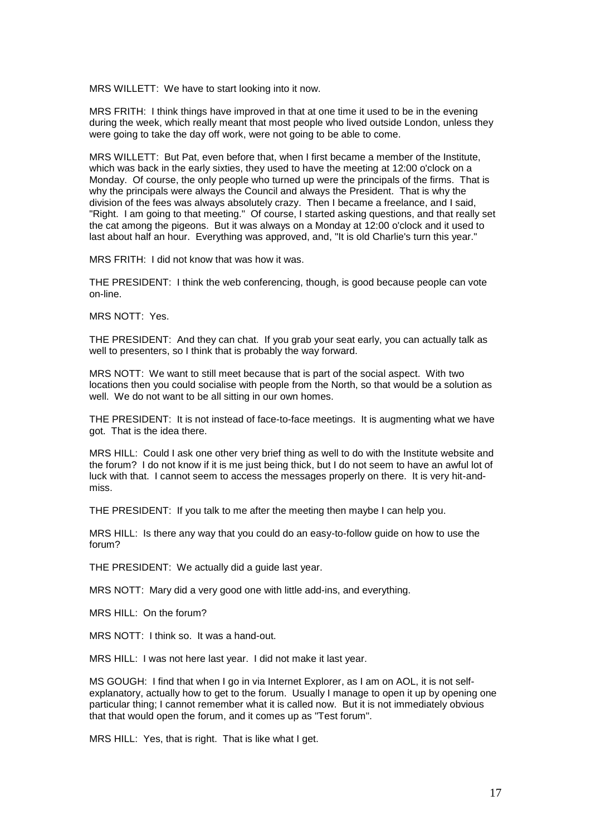MRS WILLETT: We have to start looking into it now.

MRS FRITH: I think things have improved in that at one time it used to be in the evening during the week, which really meant that most people who lived outside London, unless they were going to take the day off work, were not going to be able to come.

MRS WILLETT: But Pat, even before that, when I first became a member of the Institute, which was back in the early sixties, they used to have the meeting at 12:00 o'clock on a Monday. Of course, the only people who turned up were the principals of the firms. That is why the principals were always the Council and always the President. That is why the division of the fees was always absolutely crazy. Then I became a freelance, and I said, "Right. I am going to that meeting." Of course, I started asking questions, and that really set the cat among the pigeons. But it was always on a Monday at 12:00 o'clock and it used to last about half an hour. Everything was approved, and, "It is old Charlie's turn this year."

MRS FRITH: I did not know that was how it was.

THE PRESIDENT: I think the web conferencing, though, is good because people can vote on-line.

MRS NOTT: Yes.

THE PRESIDENT: And they can chat. If you grab your seat early, you can actually talk as well to presenters, so I think that is probably the way forward.

MRS NOTT: We want to still meet because that is part of the social aspect. With two locations then you could socialise with people from the North, so that would be a solution as well. We do not want to be all sitting in our own homes.

THE PRESIDENT: It is not instead of face-to-face meetings. It is augmenting what we have got. That is the idea there.

MRS HILL: Could I ask one other very brief thing as well to do with the Institute website and the forum? I do not know if it is me just being thick, but I do not seem to have an awful lot of luck with that. I cannot seem to access the messages properly on there. It is very hit-andmiss.

THE PRESIDENT: If you talk to me after the meeting then maybe I can help you.

MRS HILL: Is there any way that you could do an easy-to-follow guide on how to use the forum?

THE PRESIDENT: We actually did a guide last year.

MRS NOTT: Mary did a very good one with little add-ins, and everything.

MRS HILL: On the forum?

MRS NOTT: I think so. It was a hand-out.

MRS HILL: I was not here last year. I did not make it last year.

MS GOUGH: I find that when I go in via Internet Explorer, as I am on AOL, it is not selfexplanatory, actually how to get to the forum. Usually I manage to open it up by opening one particular thing; I cannot remember what it is called now. But it is not immediately obvious that that would open the forum, and it comes up as "Test forum".

MRS HILL: Yes, that is right. That is like what I get.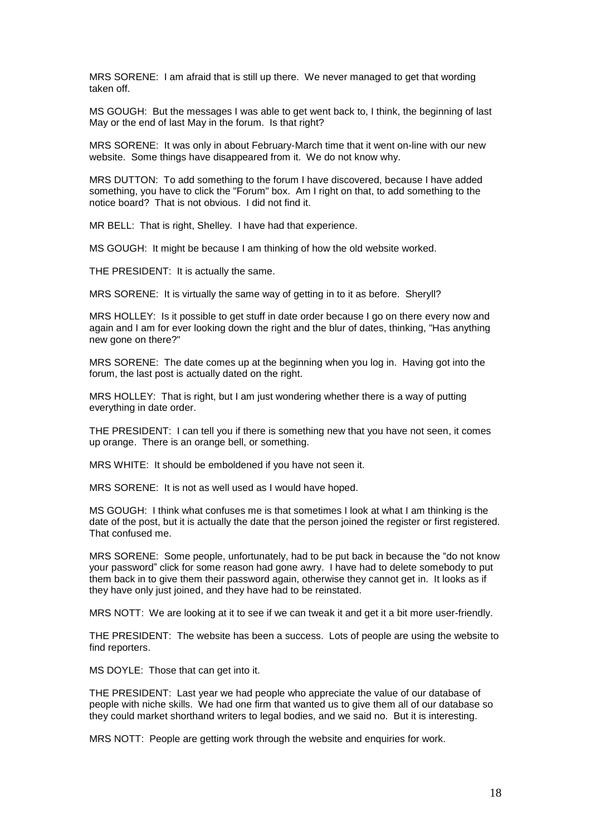MRS SORENE: I am afraid that is still up there. We never managed to get that wording taken off.

MS GOUGH: But the messages I was able to get went back to, I think, the beginning of last May or the end of last May in the forum. Is that right?

MRS SORENE: It was only in about February-March time that it went on-line with our new website. Some things have disappeared from it. We do not know why.

MRS DUTTON: To add something to the forum I have discovered, because I have added something, you have to click the "Forum" box. Am I right on that, to add something to the notice board? That is not obvious. I did not find it.

MR BELL: That is right, Shelley. I have had that experience.

MS GOUGH: It might be because I am thinking of how the old website worked.

THE PRESIDENT: It is actually the same.

MRS SORENE: It is virtually the same way of getting in to it as before. Sheryll?

MRS HOLLEY: Is it possible to get stuff in date order because I go on there every now and again and I am for ever looking down the right and the blur of dates, thinking, "Has anything new gone on there?"

MRS SORENE: The date comes up at the beginning when you log in. Having got into the forum, the last post is actually dated on the right.

MRS HOLLEY: That is right, but I am just wondering whether there is a way of putting everything in date order.

THE PRESIDENT: I can tell you if there is something new that you have not seen, it comes up orange. There is an orange bell, or something.

MRS WHITE: It should be emboldened if you have not seen it.

MRS SORENE: It is not as well used as I would have hoped.

MS GOUGH: I think what confuses me is that sometimes I look at what I am thinking is the date of the post, but it is actually the date that the person joined the register or first registered. That confused me.

MRS SORENE: Some people, unfortunately, had to be put back in because the "do not know your password" click for some reason had gone awry. I have had to delete somebody to put them back in to give them their password again, otherwise they cannot get in. It looks as if they have only just joined, and they have had to be reinstated.

MRS NOTT: We are looking at it to see if we can tweak it and get it a bit more user-friendly.

THE PRESIDENT: The website has been a success. Lots of people are using the website to find reporters.

MS DOYLE: Those that can get into it.

THE PRESIDENT: Last year we had people who appreciate the value of our database of people with niche skills. We had one firm that wanted us to give them all of our database so they could market shorthand writers to legal bodies, and we said no. But it is interesting.

MRS NOTT: People are getting work through the website and enquiries for work.